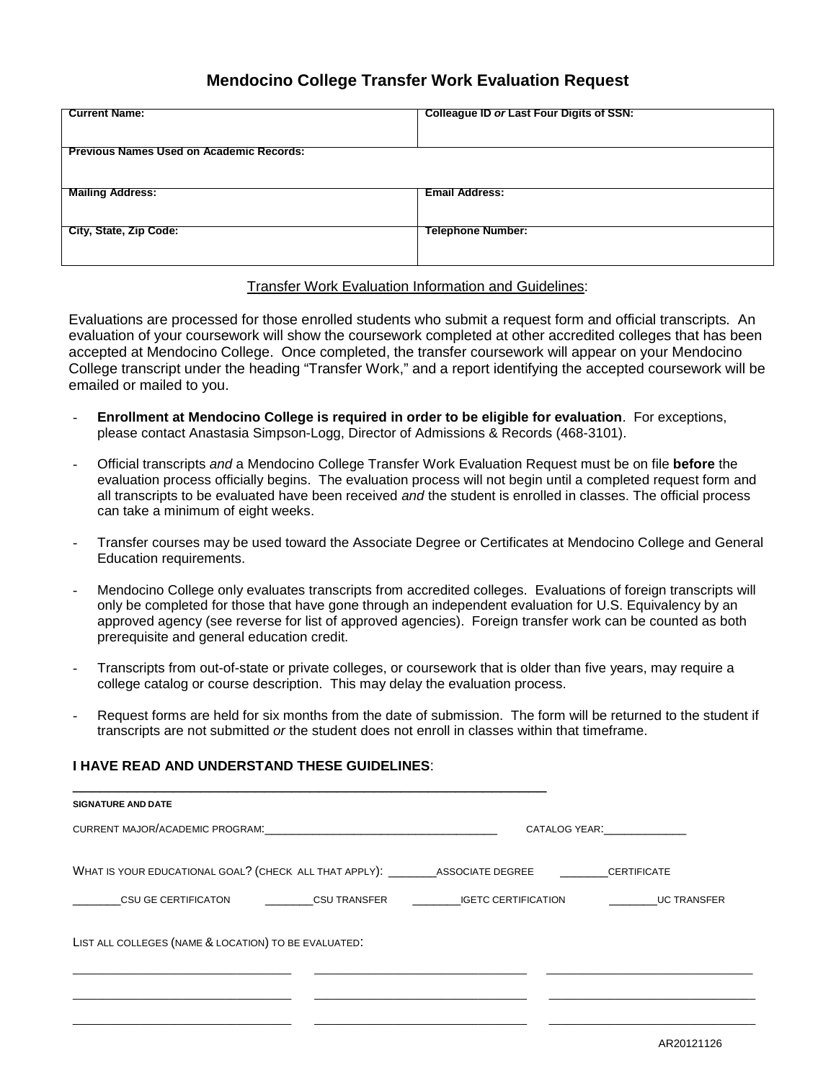## **Mendocino College Transfer Work Evaluation Request**

| <b>Current Name:</b>                            | <b>Colleague ID or Last Four Digits of SSN:</b> |  |
|-------------------------------------------------|-------------------------------------------------|--|
| <b>Previous Names Used on Academic Records:</b> |                                                 |  |
| <b>Mailing Address:</b>                         | <b>Email Address:</b>                           |  |
| City, State, Zip Code:                          | <b>Telephone Number:</b>                        |  |
|                                                 |                                                 |  |

## Transfer Work Evaluation Information and Guidelines:

Evaluations are processed for those enrolled students who submit a request form and official transcripts. An evaluation of your coursework will show the coursework completed at other accredited colleges that has been accepted at Mendocino College. Once completed, the transfer coursework will appear on your Mendocino College transcript under the heading "Transfer Work," and a report identifying the accepted coursework will be emailed or mailed to you.

- **Enrollment at Mendocino College is required in order to be eligible for evaluation**. For exceptions, please contact Anastasia Simpson-Logg, Director of Admissions & Records (468-3101).
- Official transcripts *and* a Mendocino College Transfer Work Evaluation Request must be on file **before** the evaluation process officially begins. The evaluation process will not begin until a completed request form and all transcripts to be evaluated have been received *and* the student is enrolled in classes. The official process can take a minimum of eight weeks.
- Transfer courses may be used toward the Associate Degree or Certificates at Mendocino College and General Education requirements.
- Mendocino College only evaluates transcripts from accredited colleges. Evaluations of foreign transcripts will only be completed for those that have gone through an independent evaluation for U.S. Equivalency by an approved agency (see reverse for list of approved agencies). Foreign transfer work can be counted as both prerequisite and general education credit.
- Transcripts from out-of-state or private colleges, or coursework that is older than five years, may require a college catalog or course description. This may delay the evaluation process.
- Request forms are held for six months from the date of submission. The form will be returned to the student if transcripts are not submitted *or* the student does not enroll in classes within that timeframe.

## **I HAVE READ AND UNDERSTAND THESE GUIDELINES**:

| CURRENT MAJOR/ACADEMIC PROGRAM: CONTRACT CONTRACT CONTRACT AND ACCORDING TO THE CONTRACT OF THE CONTRACT OF THE CONTRACT OF THE CONTRACT OF THE CONTRACT OF THE CONTRACT OF THE CONTRACT OF THE CONTRACT OF THE CONTRACT OF TH |  | CATALOG YEAR: THE STATE OF THE STATE OF THE STATE OF THE STATE OF THE STATE OF THE STATE OF THE STATE OF THE ST |  |
|--------------------------------------------------------------------------------------------------------------------------------------------------------------------------------------------------------------------------------|--|-----------------------------------------------------------------------------------------------------------------|--|
|                                                                                                                                                                                                                                |  |                                                                                                                 |  |
|                                                                                                                                                                                                                                |  | <b>Example 12 UC TRANSFER</b>                                                                                   |  |
| LIST ALL COLLEGES (NAME & LOCATION) TO BE EVALUATED.                                                                                                                                                                           |  |                                                                                                                 |  |
|                                                                                                                                                                                                                                |  |                                                                                                                 |  |
|                                                                                                                                                                                                                                |  |                                                                                                                 |  |
|                                                                                                                                                                                                                                |  | WHAT IS YOUR EDUCATIONAL GOAL? (CHECK ALL THAT APPLY): ASSOCIATE DEGREE CERTIFICATE                             |  |